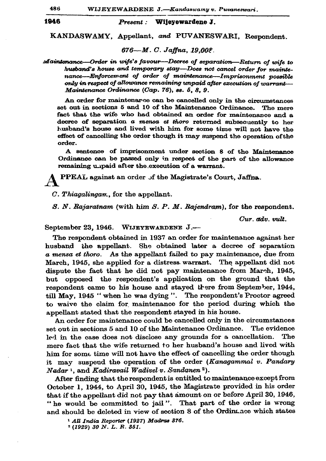1946

Wijevewardene J. Present:

KANDASWAMY, Appellant, and PUVANESWARI, Respondent.

676-M.C. Jaffna, 19.008.

Maintenance—Order in wife's favour—Decree of separation—Return of wife to husband's house and temporary stay-Does not cancel order for maintenance---Enforcement of order of maintenance--Imprisonment possible only in respect of allowance remaining unpaid after execution of warrant-Maintenance Ordinance (Cap. 76), ss. 5, 8, 9.

An order for maintenarce can be cancelled only in the circumstances set out in sections 5 and 10 of the Maintenance Ordinance. The mere fact that the wife who had obtained an order for maintenance and a decree of separation a mensa et thoro returned subsequently to her husband's house and lived with him for some time will not have the effect of cancelling the order though it may suspend the operation of the order.

A sentence of imprisonment under section 8 of the Maintenance Ordinance can be passed only in respect of the part of the allowance remaining unpaid after the execution of a warrant.

PPEAL against an order of the Magistrate's Court, Jaffna.

C. Thiagalingan., for the appellant.

S. N. Rajaratnam (with him S. P. M. Rajendram), for the respondent.

Cur. adv. vult.

September 23, 1946. WIJEYEWARDENE J.-

The respondent obtained in 1937 an order for maintenance against her husband the appellant. She obtained later a decree of separation a mensa et thoro. As the appellant failed to pay maintenance, due from March, 1945, she applied for a distress warrant. The appellant did not dispute the fact that he did not pay maintenance from March, 1945, but opposed the respondent's application on the ground that the respondent came to his house and stayed there from September, 1944, till May, 1945 "when he was dying". The respondent's Proctor agreed to waive the claim for maintenance for the period during which the appellant stated that the respondent stayed in his house.

An order for maintenance could be cancelled only in the circumstances set out in sections 5 and 10 of the Maintenance Ordinance. The evidence led in the case does not disclose any grounds for a cancellation. The mere fact that the wife returned to her husband's house and lived with him for some time will not have the effect of cancelling the order though it may suspend the operation of the order (Kanagammal v. Pandary Nadar<sup>1</sup>, and Kadiravail Wadivel v. Sandanen<sup>2</sup>).

After finding that the respondent is entitled to maintenance except from October 1, 1944, to April 30, 1945, the Magistrate provided in his order that if the appellant did not pay that amount on or before April 30, 1946, "he would be committed to jail". That part of the order is wrong and should be deleted in view of section 8 of the Ordinance which states

<sup>&</sup>lt;sup>1</sup> All India Reporter (1927) Madras 376.

 $2(1929)$  30 N.L.R. 351.